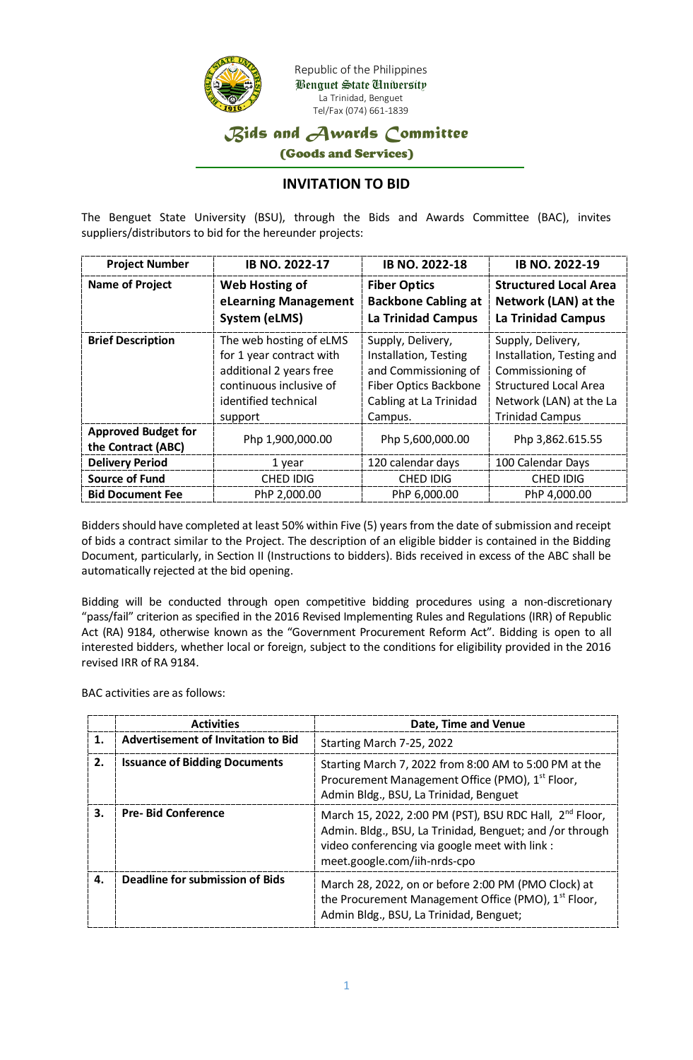

Benguet State University La Trinidad, Benguet Tel/Fax (074) 661-1839

## *Bids and Awards Committee*

(Goods and Services)

## **INVITATION TO BID**

The Benguet State University (BSU), through the Bids and Awards Committee (BAC), invites suppliers/distributors to bid for the hereunder projects:

| <b>Project Number</b>                                                | <b>IB NO. 2022-17</b>                                                                                                                        | <b>IB NO. 2022-18</b>                                                                                                                   | <b>IB NO. 2022-19</b>                                                                                                                                   |
|----------------------------------------------------------------------|----------------------------------------------------------------------------------------------------------------------------------------------|-----------------------------------------------------------------------------------------------------------------------------------------|---------------------------------------------------------------------------------------------------------------------------------------------------------|
| <b>Name of Project</b>                                               | <b>Web Hosting of</b><br>eLearning Management<br>System (eLMS)                                                                               | <b>Fiber Optics</b><br><b>Backbone Cabling at</b><br><b>La Trinidad Campus</b>                                                          | <b>Structured Local Area</b><br>Network (LAN) at the<br><b>La Trinidad Campus</b>                                                                       |
| <b>Brief Description</b>                                             | The web hosting of eLMS<br>for 1 year contract with<br>additional 2 years free<br>continuous inclusive of<br>identified technical<br>support | Supply, Delivery,<br>Installation, Testing<br>and Commissioning of<br><b>Fiber Optics Backbone</b><br>Cabling at La Trinidad<br>Campus. | Supply, Delivery,<br>Installation, Testing and<br>Commissioning of<br><b>Structured Local Area</b><br>Network (LAN) at the La<br><b>Trinidad Campus</b> |
| <b>Approved Budget for</b><br>Php 1,900,000.00<br>the Contract (ABC) |                                                                                                                                              | Php 5,600,000.00                                                                                                                        | Php 3,862.615.55                                                                                                                                        |
| <b>Delivery Period</b><br>1 year                                     |                                                                                                                                              | 120 calendar days                                                                                                                       | 100 Calendar Days                                                                                                                                       |
| <b>Source of Fund</b><br><b>CHED IDIG</b>                            |                                                                                                                                              | <b>CHED IDIG</b>                                                                                                                        | <b>CHED IDIG</b>                                                                                                                                        |
| PhP 2,000.00<br><b>Bid Document Fee</b>                              |                                                                                                                                              | PhP 6,000.00                                                                                                                            | PhP 4,000.00                                                                                                                                            |

Bidders should have completed at least 50% within Five (5) years from the date of submission and receipt of bids a contract similar to the Project. The description of an eligible bidder is contained in the Bidding Document, particularly, in Section II (Instructions to bidders). Bids received in excess of the ABC shall be automatically rejected at the bid opening.

Bidding will be conducted through open competitive bidding procedures using a non-discretionary "pass/fail" criterion as specified in the 2016 Revised Implementing Rules and Regulations (IRR) of Republic Act (RA) 9184, otherwise known as the "Government Procurement Reform Act". Bidding is open to all interested bidders, whether local or foreign, subject to the conditions for eligibility provided in the 2016 revised IRR of RA 9184.

BAC activities are as follows:

|    | <b>Activities</b>                         | Date, Time and Venue                                                                                                                                                                                              |
|----|-------------------------------------------|-------------------------------------------------------------------------------------------------------------------------------------------------------------------------------------------------------------------|
| 1. | <b>Advertisement of Invitation to Bid</b> | Starting March 7-25, 2022                                                                                                                                                                                         |
| 2. | <b>Issuance of Bidding Documents</b>      | Starting March 7, 2022 from 8:00 AM to 5:00 PM at the<br>Procurement Management Office (PMO), 1 <sup>st</sup> Floor,<br>Admin Bldg., BSU, La Trinidad, Benguet                                                    |
| 3. | <b>Pre-Bid Conference</b>                 | March 15, 2022, 2:00 PM (PST), BSU RDC Hall, 2 <sup>nd</sup> Floor,<br>Admin. Bldg., BSU, La Trinidad, Benguet; and /or through<br>video conferencing via google meet with link :<br>meet.google.com/iih-nrds-cpo |
| 4. | Deadline for submission of Bids           | March 28, 2022, on or before 2:00 PM (PMO Clock) at<br>the Procurement Management Office (PMO), 1 <sup>st</sup> Floor,<br>Admin Bldg., BSU, La Trinidad, Benguet;                                                 |